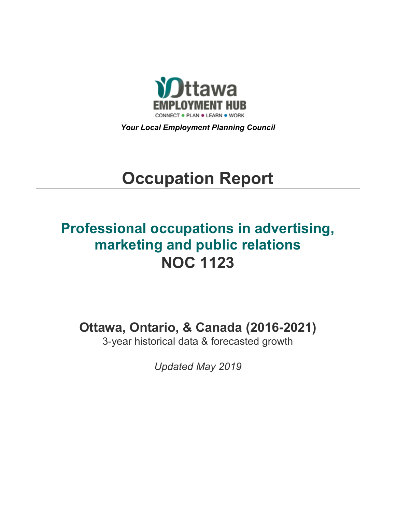

*Your Local Employment Planning Council*

# **Occupation Report**

# **Professional occupations in advertising, marketing and public relations NOC 1123**

**Ottawa, Ontario, & Canada (2016-2021)**

3-year historical data & forecasted growth

*Updated May 2019*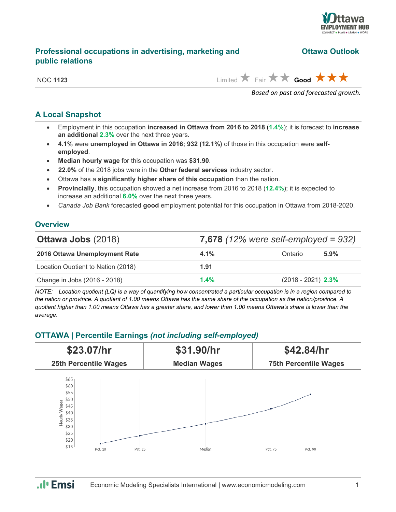

# **Professional occupations in advertising, marketing and Citawa Outlook public relations**

NOC **1123** Limited  $\overrightarrow{A}$  Fair  $\overrightarrow{A}$  **Good**  $\overrightarrow{A}$   $\overrightarrow{A}$ 

*Based on past and forecasted growth.*

# **A Local Snapshot**

- Employment in this occupation **increased in Ottawa from 2016 to 2018** (**1.4%**); it is forecast to **increase an additional 2.3%** over the next three years.
- **4.1%** were **unemployed in Ottawa in 2016; 932 (12.1%)** of those in this occupation were **selfemployed**.
- **Median hourly wage** for this occupation was **\$31.90**.
- **22.0%** of the 2018 jobs were in the **Other federal services** industry sector.
- Ottawa has a **significantly higher share of this occupation** than the nation.
- **Provincially**, this occupation showed a net increase from 2016 to 2018 (**12.4%**); it is expected to increase an additional **6.0%** over the next three years.
- *Canada Job Bank* forecasted **good** employment potential for this occupation in Ottawa from 2018-2020.

# **Overview**

| <b>Ottawa Jobs (2018)</b>          | 7,678 $(12\%$ were self-employed = 932) |                      |         |
|------------------------------------|-----------------------------------------|----------------------|---------|
| 2016 Ottawa Unemployment Rate      | $4.1\%$                                 | Ontario              | $5.9\%$ |
| Location Quotient to Nation (2018) | 1.91                                    |                      |         |
| Change in Jobs (2016 - 2018)       | 1.4%                                    | $(2018 - 2021)$ 2.3% |         |

*NOTE: Location quotient (LQ) is a way of quantifying how concentrated a particular occupation is in a region compared to the nation or province. A quotient of 1.00 means Ottawa has the same share of the occupation as the nation/province. A quotient higher than 1.00 means Ottawa has a greater share, and lower than 1.00 means Ottawa's share is lower than the average.*

# **OTTAWA | Percentile Earnings** *(not including self-employed)*



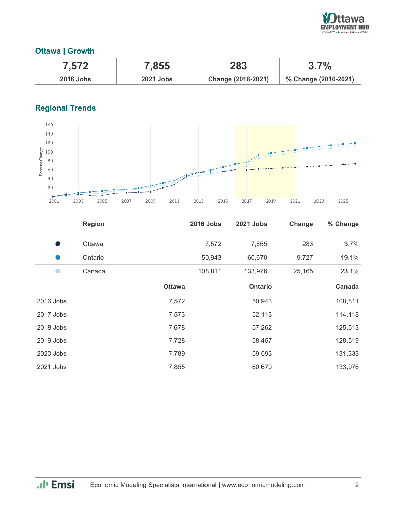

# **Ottawa | Growth**

| 7.572            | 7,855            | 283                | $3.7\%$              |
|------------------|------------------|--------------------|----------------------|
| <b>2016 Jobs</b> | <b>2021 Jobs</b> | Change (2016-2021) | % Change (2016-2021) |

# **Regional Trends**



|           | <b>Region</b> |               | <b>2016 Jobs</b> | <b>2021 Jobs</b> | Change | % Change |
|-----------|---------------|---------------|------------------|------------------|--------|----------|
| s,        | Ottawa        |               | 7,572            | 7,855            | 283    | 3.7%     |
|           | Ontario       |               | 50,943           | 60,670           | 9,727  | 19.1%    |
|           | Canada        |               | 108,811          | 133,976          | 25,165 | 23.1%    |
|           |               | <b>Ottawa</b> |                  | <b>Ontario</b>   |        | Canada   |
| 2016 Jobs |               | 7,572         |                  | 50,943           |        | 108,811  |
| 2017 Jobs |               | 7,573         |                  | 52,113           |        | 114,118  |
| 2018 Jobs |               | 7,678         |                  | 57,262           |        | 125,513  |
| 2019 Jobs |               | 7,728         |                  | 58,457           |        | 128,519  |
| 2020 Jobs |               | 7,789         |                  | 59,593           |        | 131,333  |
| 2021 Jobs |               | 7,855         |                  | 60,670           |        | 133,976  |

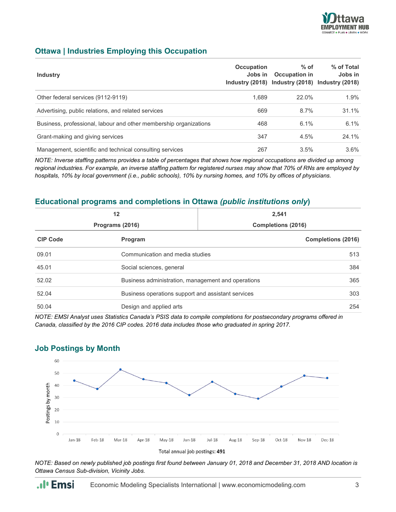

# **Ottawa | Industries Employing this Occupation**

| <b>Industry</b>                                                   | Occupation | $%$ of<br>Jobs in Occupation in<br>Industry (2018) Industry (2018) Industry (2018) | % of Total<br>Jobs in |
|-------------------------------------------------------------------|------------|------------------------------------------------------------------------------------|-----------------------|
| Other federal services (9112-9119)                                | 1.689      | 22.0%                                                                              | 1.9%                  |
| Advertising, public relations, and related services               | 669        | 8.7%                                                                               | 31.1%                 |
| Business, professional, labour and other membership organizations | 468        | 6.1%                                                                               | 6.1%                  |
| Grant-making and giving services                                  | 347        | 4.5%                                                                               | 24.1%                 |
| Management, scientific and technical consulting services          | 267        | 3.5%                                                                               | $3.6\%$               |

*NOTE: Inverse staffing patterns provides a table of percentages that shows how regional occupations are divided up among regional industries. For example, an inverse staffing pattern for registered nurses may show that 70% of RNs are employed by hospitals, 10% by local government (i.e., public schools), 10% by nursing homes, and 10% by offices of physicians.*

## **Educational programs and completions in Ottawa** *(public institutions only***)**

| 12<br>Programs (2016) |                                                    | 2,541<br><b>Completions (2016)</b>                 |                    |
|-----------------------|----------------------------------------------------|----------------------------------------------------|--------------------|
| <b>CIP Code</b>       | Program                                            |                                                    | Completions (2016) |
| 09.01                 | Communication and media studies                    |                                                    | 513                |
| 45.01                 | Social sciences, general                           |                                                    |                    |
| 52.02                 |                                                    | Business administration, management and operations |                    |
| 52.04                 | Business operations support and assistant services |                                                    | 303                |
| 50.04                 | Design and applied arts                            |                                                    | 254                |

*NOTE: EMSI Analyst uses Statistics Canada's PSIS data to compile completions for postsecondary programs offered in Canada, classified by the 2016 CIP codes. 2016 data includes those who graduated in spring 2017.*



## **Job Postings by Month**

*NOTE: Based on newly published job postings first found between January 01, 2018 and December 31, 2018 AND location is Ottawa Census Sub-division, Vicinity Jobs.*